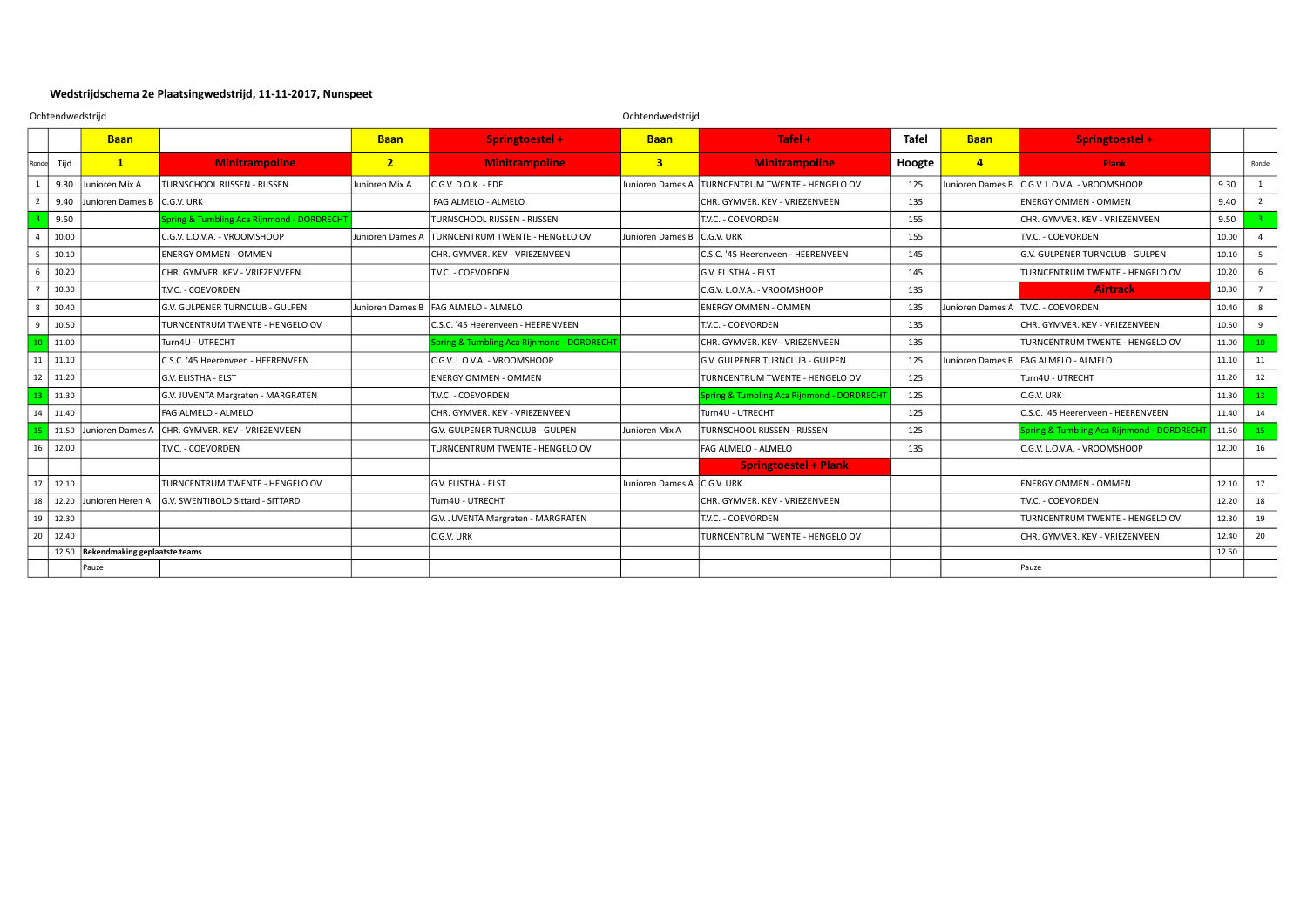## **Wedstrijdschema 2e Plaatsingwedstrijd, 11-11-2017, Nunspeet**

|                | Ochtendwedstrijd |                                     |                                                       |                  |                                           | Ochtendwedstrijd            |                                           |              |                  |                                           |       |                 |
|----------------|------------------|-------------------------------------|-------------------------------------------------------|------------------|-------------------------------------------|-----------------------------|-------------------------------------------|--------------|------------------|-------------------------------------------|-------|-----------------|
|                |                  | <b>Baan</b>                         |                                                       | <b>Baan</b>      | Springtoestel +                           | <b>Baan</b>                 | Tafel $+$                                 | <b>Tafel</b> | <b>Baan</b>      | Springtoestel +                           |       |                 |
| Ronde          | Tijd             | $\mathbf{1}$                        | <b>Minitrampoline</b>                                 | $2^{\circ}$      | <b>Minitrampoline</b>                     | 3 <sup>1</sup>              | <b>Minitrampoline</b>                     | Hoogte       | $\overline{4}$   | Plank                                     |       | Ronde           |
|                |                  | 9.30 Junioren Mix A                 | TURNSCHOOL RIJSSEN - RIJSSEN                          | Junioren Mix A   | $C.G.V. D.O.K. - FDF$                     | Junioren Dames A            | TURNCENTRUM TWENTE - HENGELO OV           | 125          | Junioren Dames B | C.G.V. L.O.V.A. - VROOMSHOOP              | 9.30  | $\mathbf{1}$    |
|                | 9.40             | Junioren Dames B C.G.V. URK         |                                                       |                  | FAG ALMELO - ALMELO                       |                             | CHR. GYMVER. KEV - VRIEZENVEEN            | 135          |                  | <b>ENERGY OMMEN - OMMEN</b>               | 9.40  | $\overline{2}$  |
|                | 9.50             |                                     | pring & Tumbling Aca Rijnmond - DORDRECHT             |                  | TURNSCHOOL RIJSSEN - RIJSSEN              |                             | T.V.C. - COEVORDEN                        | 155          |                  | CHR. GYMVER. KEV - VRIEZENVEEN            | 9.50  |                 |
| $\overline{a}$ | 10.00            |                                     | C.G.V. L.O.V.A. - VROOMSHOOP                          | Junioren Dames A | <b>TURNCENTRUM TWENTE - HENGELO OV</b>    | Junioren Dames B C.G.V. URK |                                           | 155          |                  | T.V.C. - COEVORDEN                        | 10.00 |                 |
| -5             | 10.10            |                                     | <b>ENERGY OMMEN - OMMEN</b>                           |                  | CHR. GYMVER. KEV - VRIEZENVEEN            |                             | C.S.C. '45 Heerenveen - HEERENVEEN        | 145          |                  | G.V. GULPENER TURNCLUB - GULPEN           | 10.10 | 5               |
| - 6            | 10.20            |                                     | CHR. GYMVER. KEV - VRIEZENVEEN                        |                  | T.V.C. - COEVORDEN                        |                             | G.V. ELISTHA - ELST                       | 145          |                  | TURNCENTRUM TWENTE - HENGELO OV           | 10.20 | 6               |
|                | 10.30            |                                     | T.V.C. - COEVORDEN                                    |                  |                                           |                             | C.G.V. L.O.V.A. - VROOMSHOOP              | 135          |                  | <b>Airtrack</b>                           | 10.30 | $\overline{7}$  |
| 8              | 10.40            |                                     | G.V. GULPENER TURNCLUB - GULPEN                       |                  | Junioren Dames B FAG ALMELO - ALMELO      |                             | ENERGY OMMEN - OMMEN                      | 135          |                  | Junioren Dames A   T.V.C. - COEVORDEN     | 10.40 | 8               |
| 9              | 10.50            |                                     | TURNCENTRUM TWENTE - HENGELO OV                       |                  | C.S.C. '45 Heerenveen - HEERENVEEN        |                             | T.V.C. - COEVORDEN                        | 135          |                  | CHR. GYMVER. KEV - VRIEZENVEEN            | 10.50 | $\mathbf{q}$    |
| 10             | 11.00            |                                     | Turn4U - UTRECHT                                      |                  | pring & Tumbling Aca Rijnmond - DORDRECHT |                             | CHR. GYMVER. KEV - VRIEZENVEEN            | 135          |                  | TURNCENTRUM TWENTE - HENGELO OV           | 11.00 | 10 <sup>°</sup> |
| 11             | 11.10            |                                     | C.S.C. '45 Heerenveen - HEERENVEEN                    |                  | C.G.V. L.O.V.A. - VROOMSHOOP              |                             | G.V. GULPENER TURNCLUB - GULPEN           | 125          | Junioren Dames B | FAG ALMELO - ALMELO                       | 11.10 | 11              |
| 12             | 11.20            |                                     | G.V. FLISTHA - FLST                                   |                  | <b>ENERGY OMMEN - OMMEN</b>               |                             | TURNCENTRUM TWENTE - HENGELO OV           | 125          |                  | Turn4U - UTRECHT                          | 11.20 | 12              |
| 13             | 11.30            |                                     | G.V. JUVENTA Margraten - MARGRATEN                    |                  | T.V.C. - COEVORDEN                        |                             | Spring & Tumbling Aca Rijnmond - DORDRECH | 125          |                  | C.G.V. URK                                | 11.30 | 13              |
| 14             | 11.40            |                                     | FAG ALMELO - ALMELO                                   |                  | CHR. GYMVER. KEV - VRIEZENVEEN            |                             | Turn4U - UTRECHT                          | 125          |                  | C.S.C. '45 Heerenveen - HEERENVEEN        | 11.40 | 14              |
|                |                  |                                     | 11.50 Junioren Dames A CHR. GYMVER. KEV - VRIEZENVEEN |                  | G.V. GULPENER TURNCLUB - GULPEN           | Junioren Mix A              | <b>TURNSCHOOL RIJSSEN - RIJSSEN</b>       | 125          |                  | Spring & Tumbling Aca Rijnmond - DORDRECH | 11.50 | 15              |
| 16             | 12.00            |                                     | T.V.C. - COEVORDEN                                    |                  | TURNCENTRUM TWENTE - HENGELO OV           |                             | <b>FAG ALMELO - ALMELO</b>                | 135          |                  | C.G.V. L.O.V.A. - VROOMSHOOP              | 12.00 | 16              |
|                |                  |                                     |                                                       |                  |                                           |                             | <b>Springtoestel + Plank</b>              |              |                  |                                           |       |                 |
| 17             | 12.10            |                                     | TURNCENTRUM TWENTE - HENGELO OV                       |                  | G.V. ELISTHA - ELST                       | Junioren Dames A            | C.G.V. URK                                |              |                  | <b>ENERGY OMMEN - OMMEN</b>               | 12.10 | 17              |
| 18             | 12.20            | Junioren Heren A                    | G.V. SWENTIBOLD Sittard - SITTARD                     |                  | Turn4U - UTRECHT                          |                             | CHR. GYMVER. KEV - VRIEZENVEEN            |              |                  | T.V.C. - COEVORDEN                        | 12.20 | 18              |
| 19             | 12.30            |                                     |                                                       |                  | G.V. JUVENTA Margraten - MARGRATEN        |                             | T.V.C. - COEVORDEN                        |              |                  | TURNCENTRUM TWENTE - HENGELO OV           | 12.30 | 19              |
| 20             | 12.40            |                                     |                                                       |                  | C.G.V. URK                                |                             | TURNCENTRUM TWENTE - HENGELO OV           |              |                  | CHR. GYMVER. KEV - VRIEZENVEEN            | 12.40 | 20              |
|                |                  | 12.50 Bekendmaking geplaatste teams |                                                       |                  |                                           |                             |                                           |              |                  |                                           | 12.50 |                 |
|                |                  | Pauze                               |                                                       |                  |                                           |                             |                                           |              |                  | Pauze                                     |       |                 |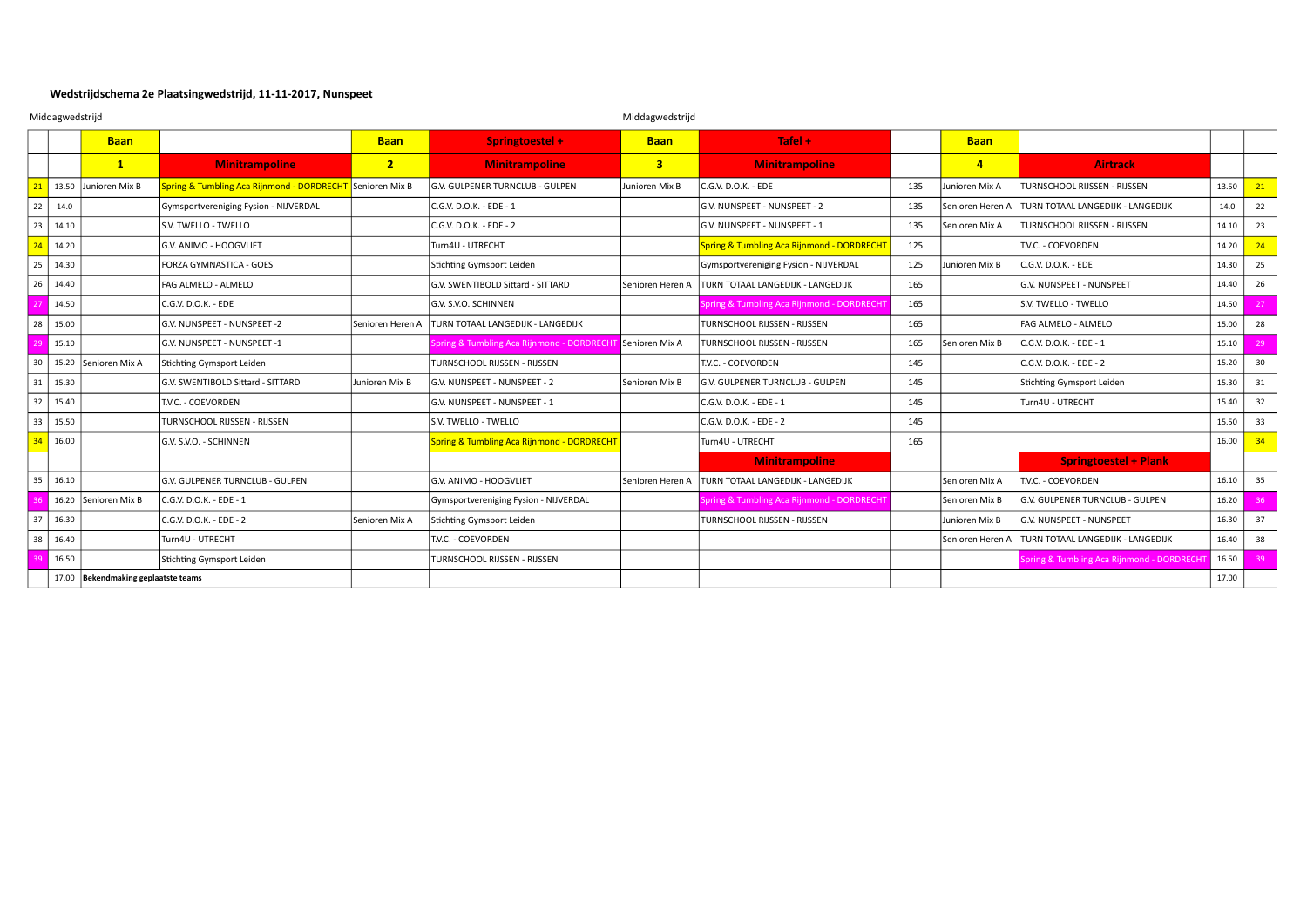## **Wedstrijdschema 2e Plaatsingwedstrijd, 11-11-2017, Nunspeet**

|    | Middagwedstrijd |                                     |                                                           |                  |                                                           | Middagwedstrijd  |                                                       |     |                  |                                            |       |    |
|----|-----------------|-------------------------------------|-----------------------------------------------------------|------------------|-----------------------------------------------------------|------------------|-------------------------------------------------------|-----|------------------|--------------------------------------------|-------|----|
|    |                 | <b>Baan</b>                         |                                                           | <b>Baan</b>      | Springtoestel +                                           | <b>Baan</b>      | Tafel $+$                                             |     | <b>Baan</b>      |                                            |       |    |
|    |                 | $\mathbf{1}$                        | <b>Minitrampoline</b>                                     | $2^{\circ}$      | <b>Minitrampoline</b>                                     | 3 <sup>1</sup>   | <b>Minitrampoline</b>                                 |     | $\overline{4}$   | <b>Airtrack</b>                            |       |    |
| 21 | 13.50           | Junioren Mix B                      | Spring & Tumbling Aca Rijnmond - DORDRECHT Senioren Mix B |                  | G.V. GULPENER TURNCLUB - GULPEN                           | Junioren Mix B   | C.G.V. D.O.K. - EDE                                   | 135 | Junioren Mix A   | <b>TURNSCHOOL RIJSSEN - RIJSSEN</b>        | 13.50 | 21 |
| 22 | 14.0            |                                     | Gymsportvereniging Fysion - NIJVERDAL                     |                  | C.G.V. D.O.K. - EDE - 1                                   |                  | G.V. NUNSPEET - NUNSPEET - 2                          | 135 | Senioren Heren A | <b>TURN TOTAAL LANGEDIJK - LANGEDIJK</b>   | 14.0  | 22 |
| 23 | 14.10           |                                     | S.V. TWELLO - TWELLO                                      |                  | C.G.V. D.O.K. - EDE - 2                                   |                  | G.V. NUNSPEET - NUNSPEET - 1                          | 135 | Senioren Mix A   | <b>TURNSCHOOL RIJSSEN - RIJSSEN</b>        | 14.10 | 23 |
| 24 | 14.20           |                                     | G.V. ANIMO - HOOGVLIET                                    |                  | Turn4U - UTRECHT                                          |                  | <b>Spring &amp; Tumbling Aca Rijnmond - DORDRECHT</b> | 125 |                  | T.V.C. - COEVORDEN                         | 14.20 | 24 |
| 25 | 14.30           |                                     | FORZA GYMNASTICA - GOES                                   |                  | Stichting Gymsport Leiden                                 |                  | Gymsportvereniging Fysion - NIJVERDAL                 | 125 | Junioren Mix B   | C.G.V. D.O.K. - EDE                        | 14.30 | 25 |
| 26 | 14.40           |                                     | FAG ALMELO - ALMELO                                       |                  | G.V. SWENTIBOLD Sittard - SITTARD                         | Senioren Heren A | TURN TOTAAL LANGEDIJK - LANGEDIJK                     | 165 |                  | G.V. NUNSPEET - NUNSPEET                   | 14.40 | 26 |
|    | 14.50           |                                     | C.G.V. D.O.K. - EDE                                       |                  | G.V. S.V.O. SCHINNEN                                      |                  | Spring & Tumbling Aca Rijnmond - DORDRECHT            | 165 |                  | S.V. TWELLO - TWELLO                       | 14.50 | 27 |
| 28 | 15.00           |                                     | G.V. NUNSPEET - NUNSPEET -2                               | Senioren Heren A | TURN TOTAAL LANGEDIJK - LANGEDIJK                         |                  | TURNSCHOOL RIJSSEN - RIJSSEN                          | 165 |                  | FAG ALMELO - ALMELO                        | 15.00 | 28 |
|    | 15.10           |                                     | G.V. NUNSPEET - NUNSPEET -1                               |                  | Spring & Tumbling Aca Rijnmond - DORDRECHT Senioren Mix A |                  | TURNSCHOOL RIJSSEN - RIJSSEN                          | 165 | lSenioren Mix B  | C.G.V. D.O.K. - EDE - 1                    | 15.10 | 29 |
| 30 | 15.20           | Senioren Mix A                      | Stichting Gymsport Leiden                                 |                  | TURNSCHOOL RIJSSEN - RIJSSEN                              |                  | T.V.C. - COEVORDEN                                    | 145 |                  | C.G.V. D.O.K. - EDE - 2                    | 15.20 | 30 |
| 31 | 15.30           |                                     | G.V. SWENTIBOLD Sittard - SITTARD                         | Junioren Mix B   | G.V. NUNSPEET - NUNSPEET - 2                              | Senioren Mix B   | G.V. GULPENER TURNCLUB - GULPEN                       | 145 |                  | Stichting Gymsport Leiden                  | 15.30 | 31 |
| 32 | 15.40           |                                     | T.V.C. - COEVORDEN                                        |                  | G.V. NUNSPEET - NUNSPEET - 1                              |                  | C.G.V. D.O.K. - EDE - 1                               | 145 |                  | Turn4U - UTRECHT                           | 15.40 | 32 |
| 33 | 15.50           |                                     | TURNSCHOOL RIJSSEN - RIJSSEN                              |                  | S.v. TWELLO - TWELLO                                      |                  | C.G.V. D.O.K. - EDE - 2                               | 145 |                  |                                            | 15.50 | 33 |
| 34 | 16.00           |                                     | G.V. S.V.O. - SCHINNEN                                    |                  | <b>Spring &amp; Tumbling Aca Rijnmond - DORDRECHT</b>     |                  | Turn4U - UTRECHT                                      | 165 |                  |                                            | 16.00 | 34 |
|    |                 |                                     |                                                           |                  |                                                           |                  | <b>Minitrampoline</b>                                 |     |                  | <b>Springtoestel + Plank</b>               |       |    |
| 35 | 16.10           |                                     | G.V. GULPENER TURNCLUB - GULPEN                           |                  | G.V. ANIMO - HOOGVLIET                                    | Senioren Heren A | TURN TOTAAL LANGEDIJK - LANGEDIJK                     |     | Senioren Mix A   | T.V.C. - COEVORDEN                         | 16.10 | 35 |
|    |                 | 16.20 Senioren Mix B                | C.G.V. D.O.K. - EDE - 1                                   |                  | Gymsportvereniging Fysion - NIJVERDAL                     |                  | Spring & Tumbling Aca Rijnmond - DORDRECHT            |     | Senioren Mix B   | G.V. GULPENER TURNCLUB - GULPEN            | 16.20 |    |
| 37 | 16.30           |                                     | C.G.V. D.O.K. - EDE - 2                                   | Senioren Mix A   | Stichting Gymsport Leiden                                 |                  | TURNSCHOOL RIJSSEN - RIJSSEN                          |     | Junioren Mix B   | lg.v. NUNSPEET - NUNSPEET                  | 16.30 | 37 |
| 38 | 16.40           |                                     | Turn4U - UTRECHT                                          |                  | T.V.C. - COEVORDEN                                        |                  |                                                       |     | Senioren Heren A | TURN TOTAAL LANGEDIJK - LANGEDIJK          | 16.40 | 38 |
|    | 16.50           |                                     | Stichting Gymsport Leiden                                 |                  | TURNSCHOOL RIJSSEN - RIJSSEN                              |                  |                                                       |     |                  | Spring & Tumbling Aca Rijnmond - DORDRECHT | 16.50 | 39 |
|    |                 | 17.00 Bekendmaking geplaatste teams |                                                           |                  |                                                           |                  |                                                       |     |                  |                                            | 17.00 |    |